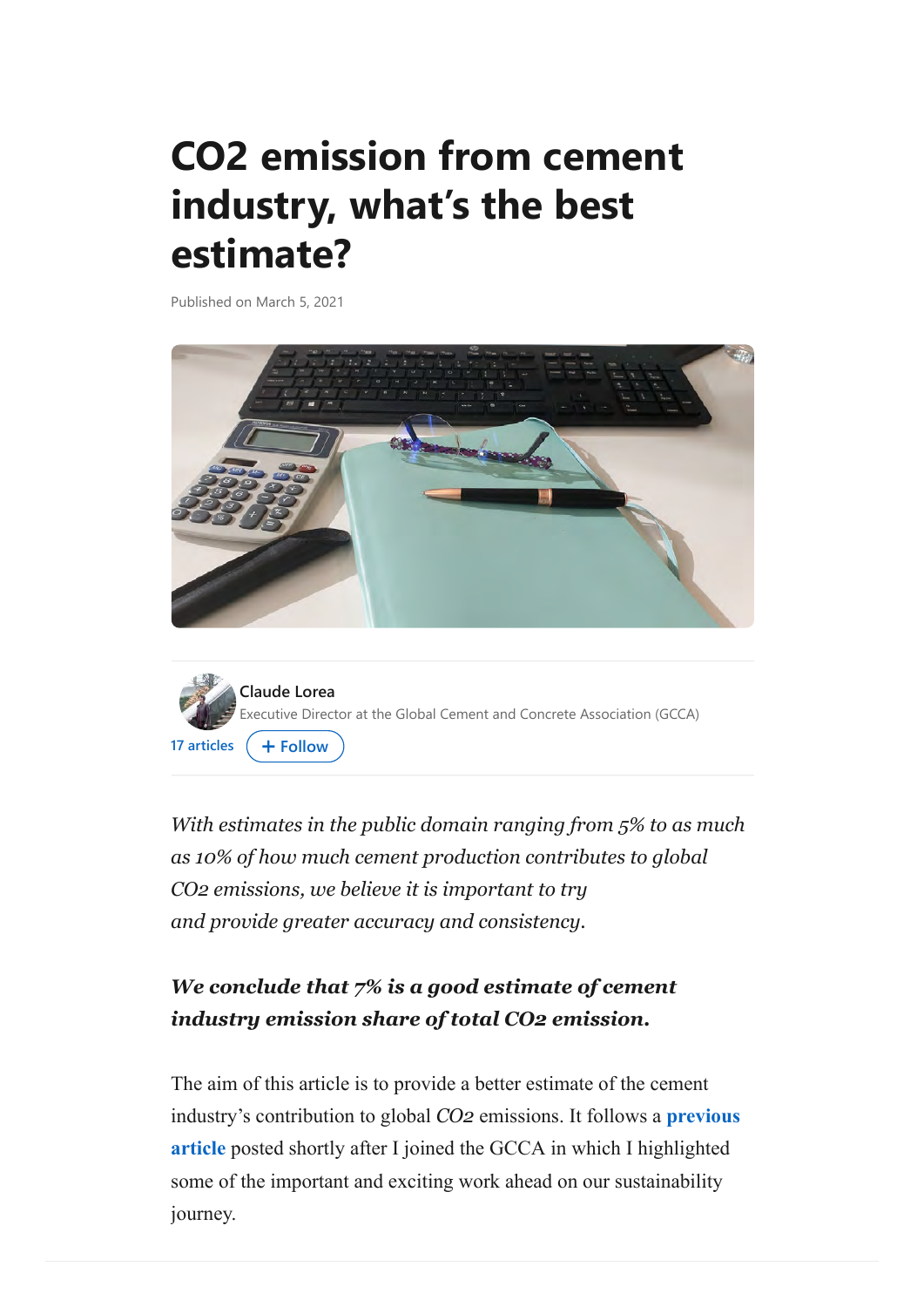## **CO2 emission from cement industry, what's the best estimate?**

Published on March 5, 2021



**[Claude Lorea](https://www.linkedin.com/in/tetris/loreaclaude/)** [17 articles](https://www.linkedin.com/in/loreaclaude/recent-activity/posts/) (**+Follow** ecutive Director at the Global Cement and Concrete Association (GCCA)

*With estimates in the public domain ranging from 5% to as much as 10% of how much cement production contributes to global CO2 emissions, we believe it is important to try and provide greater accuracy and consistency.*

## *We conclude that 7% is a good estimate of cement industry emission share of total CO2 emission.*

The aim of this article is to provide a better estimate of the cement industry's contribution to global *CO2* emissions. It follows a **previous article** [posted shortly after I joined the GCCA in which I highlighted](https://www.linkedin.com/pulse/global-emissions-shares-understanding-numbers-lorea-claude/) some of the important and exciting work ahead on our sustainability journey.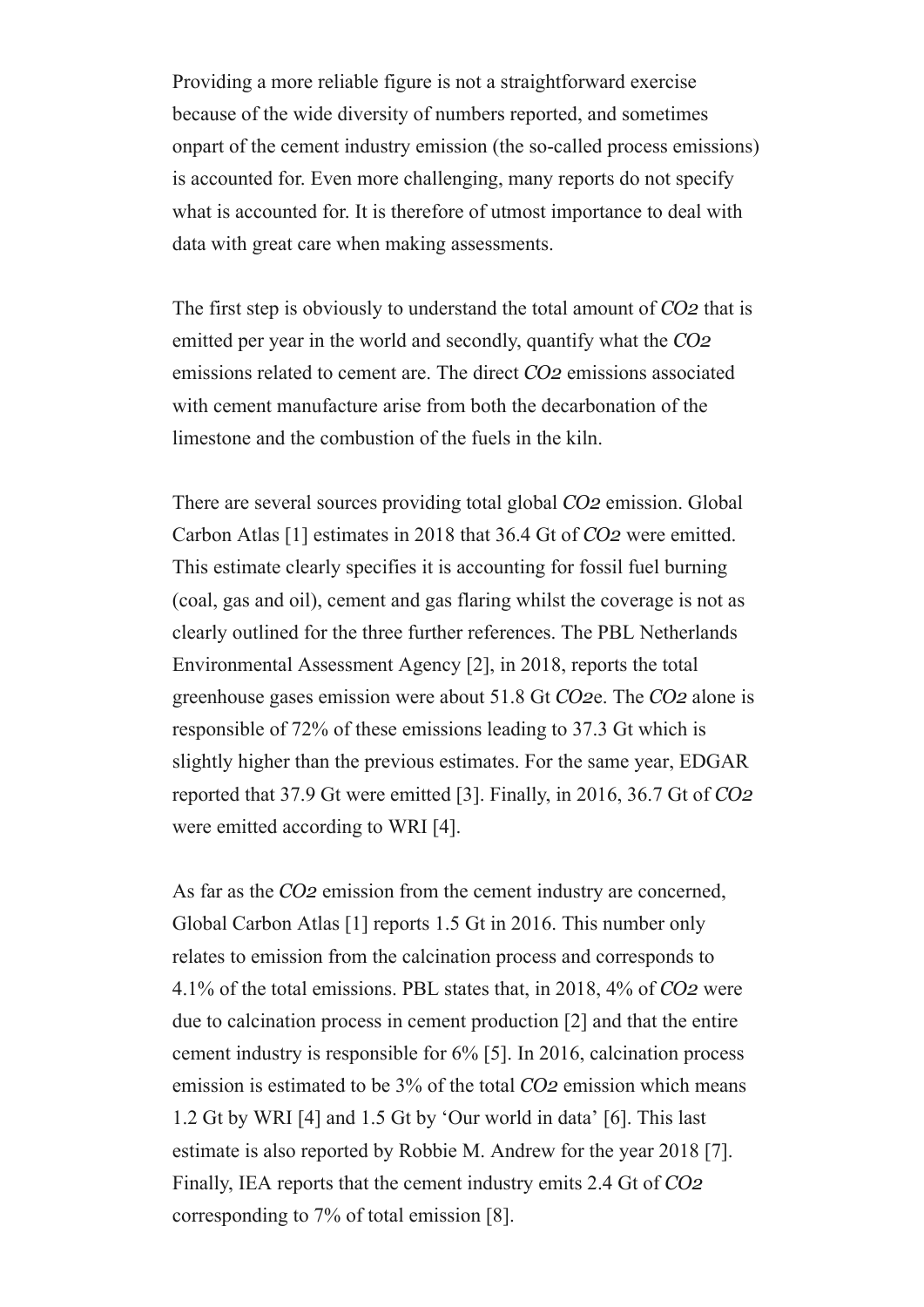Providing a more reliable figure is not a strai[ghtforward](https://www.linkedin.com/feed/) [exercise](https://www.linkedin.com/mynetwork/)  because of the wide diversity of numbers reported, and sometimes onpart of the cement industry emission (the so-called process emissions) is accounted for. Even more challenging, many reports do not specify what is accounted for. It is therefore of utmost importance to deal with data with great care when making assessments.

The first step is obviously to understand the total amount of *CO2* that is emitted per year in the world and secondly, quantify what the *CO2* emissions related to cement are. The direct *CO2* emissions associated with cement manufacture arise from both the decarbonation of the limestone and the combustion of the fuels in the kiln.

There are several sources providing total global *CO2* emission. Global Carbon Atlas [1] estimates in 2018 that 36.4 Gt of *CO2* were emitted. This estimate clearly specifies it is accounting for fossil fuel burning (coal, gas and oil), cement and gas flaring whilst the coverage is not as clearly outlined for the three further references. The PBL Netherlands Environmental Assessment Agency [2], in 2018, reports the total greenhouse gases emission were about 51.8 Gt *CO2*e. The *CO2* alone is responsible of 72% of these emissions leading to 37.3 Gt which is slightly higher than the previous estimates. For the same year, EDGAR reported that 37.9 Gt were emitted [3]. Finally, in 2016, 36.7 Gt of *CO2* were emitted according to WRI [4].

As far as the *CO2* emission from the cement industry are concerned, Global Carbon Atlas [1] reports 1.5 Gt in 2016. This number only relates to emission from the calcination process and corresponds to 4.1% of the total emissions. PBL states that, in 2018, 4% of *CO2* were due to calcination process in cement production [2] and that the entire cement industry is responsible for 6% [5]. In 2016, calcination process emission is estimated to be 3% of the total *CO2* emission which means 1.2 Gt by WRI [4] and 1.5 Gt by 'Our world in data' [6]. This last estimate is also reported by Robbie M. Andrew for the year 2018 [7]. Finally, IEA reports that the cement industry emits 2.4 Gt of *CO2* corresponding to 7% of total emission [8].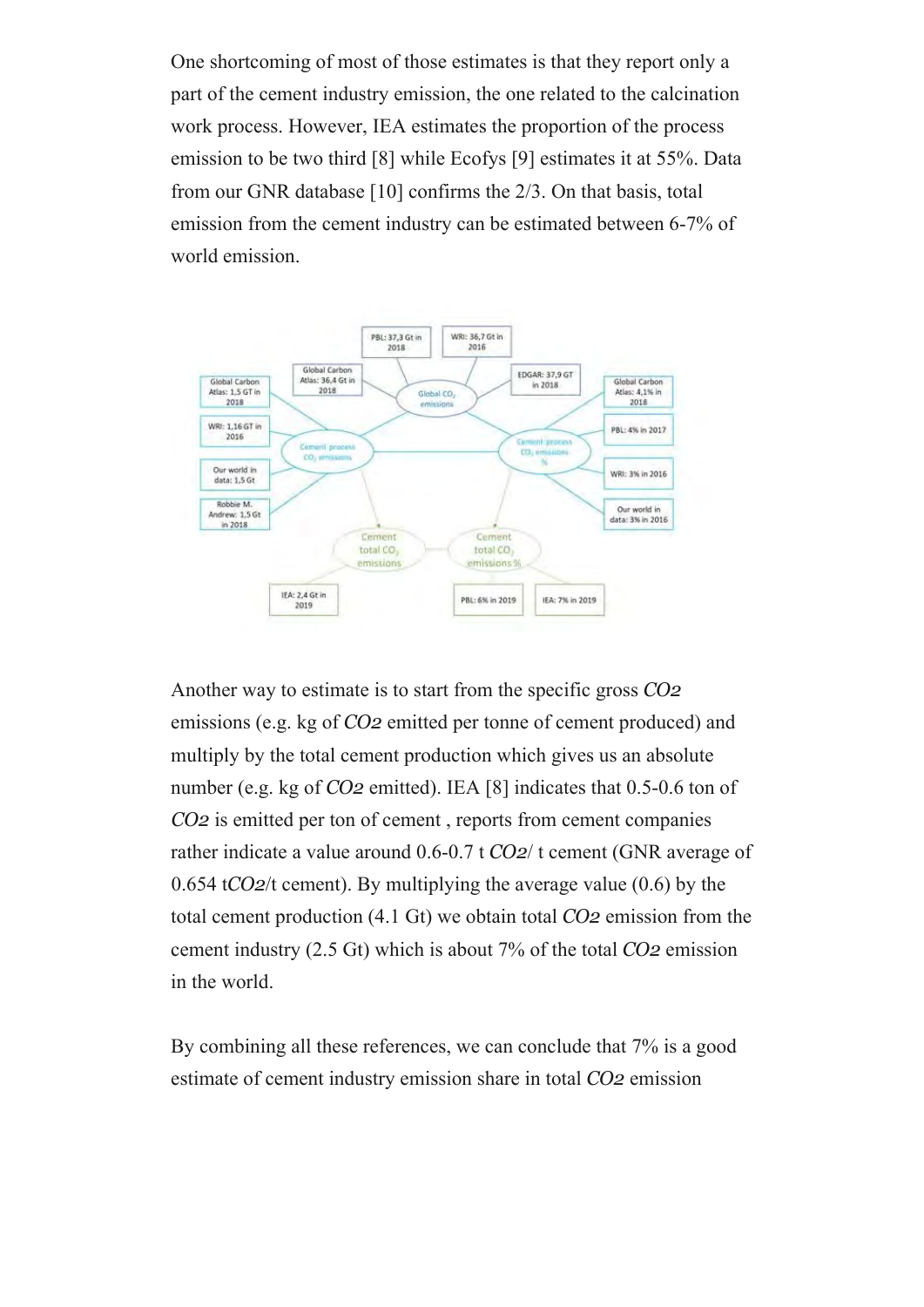One shortcoming of most of those estimates i[s that they](https://www.linkedin.com/feed/) [report onl](https://www.linkedin.com/mynetwork/)[y a](https://www.linkedin.com/jobs/)  part of the cement industry emission, the one related to the calcination work process. However, IEA estimates the proportion of the process emission to be two third [8] while Ecofys [9] estimates it at 55%. Data from our GNR database [10] confirms the 2/3. On that basis, total emission from the cement industry can be estimated between 6-7% of world emission.



Another way to estimate is to start from the specific gross *CO2* emissions (e.g. kg of *CO2* emitted per tonne of cement produced) and multiply by the total cement production which gives us an absolute number (e.g. kg of *CO2* emitted). IEA [8] indicates that 0.5-0.6 ton of *CO2* is emitted per ton of cement , reports from cement companies rather indicate a value around 0.6-0.7 t *CO2*/ t cement (GNR average of 0.654 t*CO2*/t cement). By multiplying the average value (0.6) by the total cement production (4.1 Gt) we obtain total *CO2* emission from the cement industry (2.5 Gt) which is about 7% of the total *CO2* emission in the world.

By combining all these references, we can conclude that 7% is a good estimate of cement industry emission share in total *CO2* emission